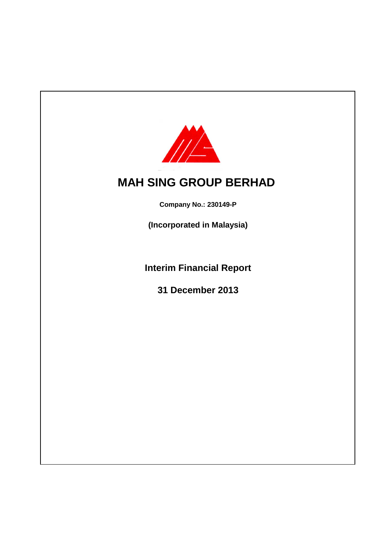

# **MAH SING GROUP BERHAD**

**Company No.: 230149-P**

**(Incorporated in Malaysia)**

**Interim Financial Report**

**31 December 2013**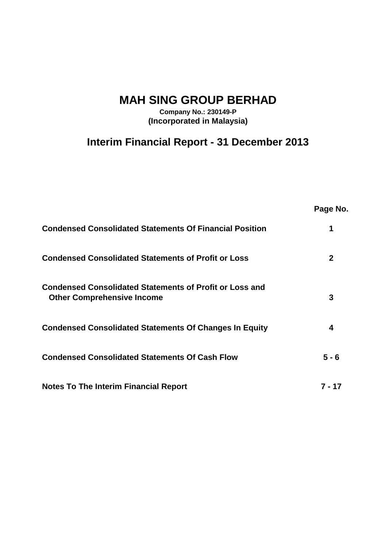# **MAH SING GROUP BERHAD**

**Company No.: 230149-P (Incorporated in Malaysia)**

**Interim Financial Report - 31 December 2013**

|                                                                                                     | Page No.     |
|-----------------------------------------------------------------------------------------------------|--------------|
| <b>Condensed Consolidated Statements Of Financial Position</b>                                      | 1            |
| <b>Condensed Consolidated Statements of Profit or Loss</b>                                          | $\mathbf{2}$ |
| <b>Condensed Consolidated Statements of Profit or Loss and</b><br><b>Other Comprehensive Income</b> | 3            |
| <b>Condensed Consolidated Statements Of Changes In Equity</b>                                       | 4            |
| <b>Condensed Consolidated Statements Of Cash Flow</b>                                               | $5 - 6$      |
| <b>Notes To The Interim Financial Report</b>                                                        | 7 - 17       |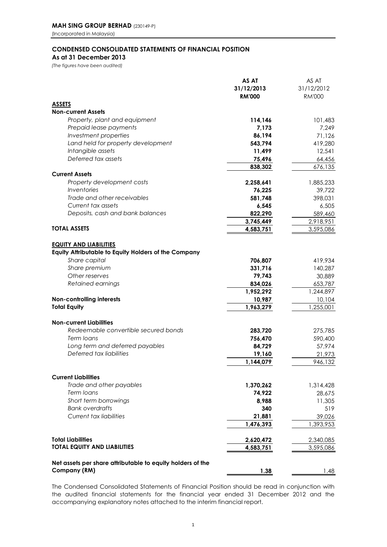### **CONDENSED CONSOLIDATED STATEMENTS OF FINANCIAL POSITION As at 31 December 2013**

*(The figures have been audited)*

|                                                                            | AS AT         | AS AT         |
|----------------------------------------------------------------------------|---------------|---------------|
|                                                                            | 31/12/2013    | 31/12/2012    |
|                                                                            | <b>RM'000</b> | <b>RM'000</b> |
| <b>ASSETS</b>                                                              |               |               |
| <b>Non-current Assets</b>                                                  |               |               |
| Property, plant and equipment                                              | 114,146       | 101,483       |
| Prepaid lease payments                                                     | 7,173         | 7,249         |
| Investment properties                                                      | 86,194        | 71,126        |
| Land held for property development                                         | 543,794       | 419,280       |
| Intangible assets                                                          | 11,499        | 12,541        |
| Deferred tax assets                                                        | 75,496        | 64,456        |
|                                                                            | 838,302       | 676,135       |
| <b>Current Assets</b>                                                      |               |               |
| Property development costs                                                 | 2,258,641     | 1,885,233     |
| Inventories                                                                | 76,225        | 39,722        |
| Trade and other receivables                                                | 581,748       | 398,031       |
| Current tax assets                                                         | 6,545         | 6,505         |
| Deposits, cash and bank balances                                           | 822,290       | 589,460       |
|                                                                            | 3,745,449     | 2,918,951     |
| <b>TOTAL ASSETS</b>                                                        | 4,583,751     | 3,595,086     |
|                                                                            |               |               |
| <b>EQUITY AND LIABILITIES</b>                                              |               |               |
| Equity Attributable to Equity Holders of the Company                       |               |               |
| Share capital                                                              | 706,807       | 419,934       |
| Share premium                                                              | 331,716       | 140,287       |
| Other reserves                                                             | 79,743        | 30,889        |
| Retained earnings                                                          | 834,026       | 653,787       |
|                                                                            | 1,952,292     | 1,244,897     |
| Non-controlling interests                                                  | 10,987        | 10,104        |
| <b>Total Equity</b>                                                        | 1,963,279     | 1,255,001     |
|                                                                            |               |               |
| <b>Non-current Liabilities</b>                                             |               |               |
| Redeemable convertible secured bonds                                       | 283,720       | 275,785       |
| Term Ioans                                                                 | 756,470       | 590,400       |
| Long term and deferred payables                                            | 84,729        | 57,974        |
| Deferred tax liabilities                                                   | 19,160        | 21,973        |
|                                                                            | 1,144,079     | 946,132       |
|                                                                            |               |               |
| <b>Current Liabilities</b>                                                 |               |               |
| Trade and other payables                                                   | 1,370,262     | 1,314,428     |
| Term Ioans                                                                 | 74,922        | 28,675        |
| Short term borrowings                                                      | 8,988         | 11,305        |
| <b>Bank overdrafts</b>                                                     | 340           | 519           |
| <b>Current tax liabilities</b>                                             |               |               |
|                                                                            | 21,881        | 39,026        |
|                                                                            | 1,476,393     | 1,393,953     |
| <b>Total Liabilities</b>                                                   |               |               |
| <b>TOTAL EQUITY AND LIABILITIES</b>                                        | 2,620,472     | 2,340,085     |
|                                                                            | 4,583,751     | 3,595,086     |
|                                                                            |               |               |
| Net assets per share attributable to equity holders of the<br>Company (RM) |               |               |
|                                                                            | 1.38          | 1.48          |

The Condensed Consolidated Statements of Financial Position should be read in conjunction with the audited financial statements for the financial year ended 31 December 2012 and the accompanying explanatory notes attached to the interim financial report.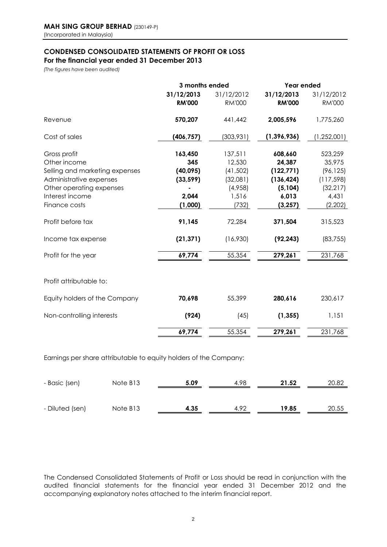# **CONDENSED CONSOLIDATED STATEMENTS OF PROFIT OR LOSS**

## **For the financial year ended 31 December 2013**

*(The figures have been audited)*

|                                | 3 months ended |               | Year ended    |               |  |  |
|--------------------------------|----------------|---------------|---------------|---------------|--|--|
|                                | 31/12/2013     | 31/12/2012    | 31/12/2013    | 31/12/2012    |  |  |
|                                | <b>RM'000</b>  | <b>RM'000</b> | <b>RM'000</b> | <b>RM'000</b> |  |  |
| Revenue                        | 570,207        | 441,442       | 2,005,596     | 1,775,260     |  |  |
| Cost of sales                  | (406, 757)     | (303, 931)    | (1, 396, 936) | (1,252,001)   |  |  |
| Gross profit                   | 163,450        | 137,511       | 608,660       | 523,259       |  |  |
| Other income                   | 345            | 12,530        | 24,387        | 35,975        |  |  |
| Selling and marketing expenses | (40,095)       | (41, 502)     | (122, 771)    | (96, 125)     |  |  |
| Administrative expenses        | (33, 599)      | (32,081)      | (136, 424)    | (117, 598)    |  |  |
| Other operating expenses       |                | (4,958)       | (5, 104)      | (32, 217)     |  |  |
| Interest income                | 2,044          | 1,516         | 6,013         | 4,431         |  |  |
| Finance costs                  | (1,000)        | (732)         | (3, 257)      | (2,202)       |  |  |
| Profit before tax              | 91,145         | 72,284        | 371,504       | 315,523       |  |  |
| Income tax expense             | (21, 371)      | (16,930)      | (92, 243)     | (83, 755)     |  |  |
| Profit for the year            | 69,774         | 55,354        | 279,261       | 231,768       |  |  |
| Profit attributable to:        |                |               |               |               |  |  |
| Equity holders of the Company  | 70,698         | 55,399        | 280,616       | 230,617       |  |  |
| Non-controlling interests      | (924)          | (45)          | (1, 355)      | 1,151         |  |  |
|                                | 69,774         | 55,354        | 279,261       | 231,768       |  |  |

Earnings per share attributable to equity holders of the Company:

| - Basic (sen)   | Note B <sub>13</sub> | 5.09 | 4.98 | 21.52 | 20.82 |
|-----------------|----------------------|------|------|-------|-------|
|                 |                      |      |      |       |       |
| - Diluted (sen) | Note B <sub>13</sub> | 4.35 | 4.92 | 19.85 | 20.55 |

The Condensed Consolidated Statements of Profit or Loss should be read in conjunction with the audited financial statements for the financial year ended 31 December 2012 and the accompanying explanatory notes attached to the interim financial report.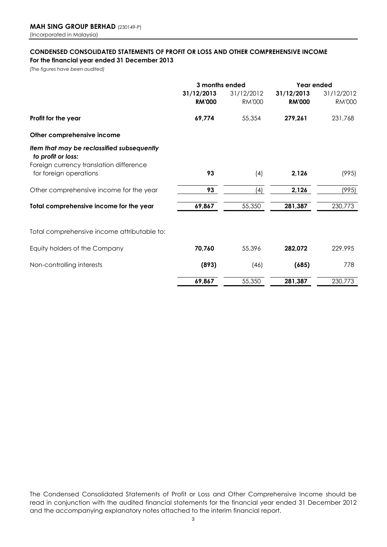## **CONDENSED CONSOLIDATED STATEMENTS OF PROFIT OR LOSS AND OTHER COMPREHENSIVE INCOME For the financial year ended 31 December 2013**

*(The figures have been audited)*

|                                                                   | 3 months ended              |                             | Year ended                  |                             |  |
|-------------------------------------------------------------------|-----------------------------|-----------------------------|-----------------------------|-----------------------------|--|
|                                                                   | 31/12/2013<br><b>RM'000</b> | 31/12/2012<br><b>RM'000</b> | 31/12/2013<br><b>RM'000</b> | 31/12/2012<br><b>RM'000</b> |  |
| Profit for the year                                               | 69,774                      | 55,354                      | 279,261                     | 231,768                     |  |
| Other comprehensive income                                        |                             |                             |                             |                             |  |
| Item that may be reclassified subsequently                        |                             |                             |                             |                             |  |
| to profit or loss:                                                |                             |                             |                             |                             |  |
| Foreign currency translation difference<br>for foreign operations | 93                          | (4)                         | 2,126                       | (995)                       |  |
| Other comprehensive income for the year                           | 93                          | (4)                         | 2,126                       | (995)                       |  |
| Total comprehensive income for the year                           | 69,867                      | 55,350                      | 281,387                     | 230,773                     |  |
| Total comprehensive income attributable to:                       |                             |                             |                             |                             |  |
| Equity holders of the Company                                     | 70,760                      | 55,396                      | 282,072                     | 229,995                     |  |
| Non-controlling interests                                         | (893)                       | (46)                        | (685)                       | 778                         |  |
|                                                                   | 69,867                      | 55,350                      | 281,387                     | 230,773                     |  |

The Condensed Consolidated Statements of Profit or Loss and Other Comprehensive Income should be read in conjunction with the audited financial statements for the financial year ended 31 December 2012 and the accompanying explanatory notes attached to the interim financial report.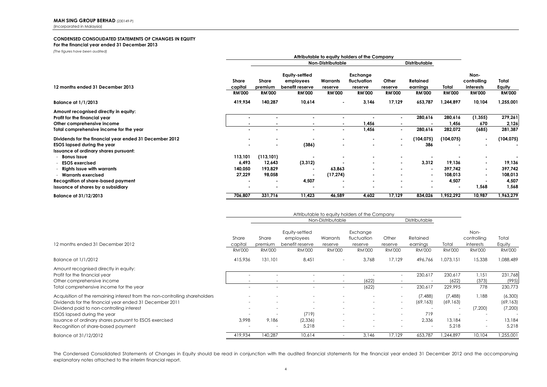### **CONDENSED CONSOLIDATED STATEMENTS OF CHANGES IN EQUITY**

### **For the financial year ended 31 December 2013**

*(The figures have been audited)*

|                                                                                                                                        |                            | Attributable to equity holders of the Company |                                                |                                  |                                                    |                  |                         |                              |                                                    |                              |
|----------------------------------------------------------------------------------------------------------------------------------------|----------------------------|-----------------------------------------------|------------------------------------------------|----------------------------------|----------------------------------------------------|------------------|-------------------------|------------------------------|----------------------------------------------------|------------------------------|
|                                                                                                                                        |                            |                                               |                                                | <b>Non-Distributable</b>         |                                                    |                  | <b>Distributable</b>    |                              |                                                    |                              |
| 12 months ended 31 December 2013                                                                                                       | Share<br>capital           | Share<br>premium                              | Equity-settled<br>employees<br>benefit reserve | Warrants<br>reserve              | Exchange<br>fluctuation<br>reserve                 | Other<br>reserve | Retained<br>earnings    | Total                        | Non-<br>controlling<br>interests                   | Total<br>Equity              |
|                                                                                                                                        | <b>RM'000</b>              | <b>RM'000</b>                                 | <b>RM'000</b>                                  | <b>RM'000</b>                    | <b>RM'000</b>                                      | <b>RM'000</b>    | <b>RM'000</b>           | <b>RM'000</b>                | <b>RM'000</b>                                      | <b>RM'000</b>                |
| <b>Balance at 1/1/2013</b>                                                                                                             | 419,934                    | 140,287                                       | 10,614                                         | $\blacksquare$                   | 3,146                                              | 17,129           | 653,787                 | 1,244,897                    | 10,104                                             | 1,255,001                    |
| Amount recognised directly in equity:<br>Profit for the financial year<br>Other comprehensive income                                   |                            |                                               |                                                |                                  | 1,456                                              |                  | 280,616                 | 280,616<br>1,456             | (1, 355)<br>670                                    | 279,261<br>2,126             |
| Total comprehensive income for the year                                                                                                |                            |                                               | $\blacksquare$                                 | $\blacksquare$                   | 1,456                                              | $\blacksquare$   | 280,616                 | 282,072                      | (685)                                              | 281,387                      |
| Dividends for the financial year ended 31 December 2012<br><b>ESOS lapsed during the year</b><br>Issuance of ordinary shares pursuant: |                            | $\blacksquare$                                | (386)                                          | $\blacksquare$<br>$\blacksquare$ | $\blacksquare$<br>$\blacksquare$                   | $\sim$           | (104, 075)<br>386       | (104, 075)                   | $\blacksquare$<br>$\overline{\phantom{a}}$         | (104, 075)                   |
| <b>Bonus Issue</b>                                                                                                                     | 113,101                    | (113, 101)                                    |                                                |                                  | $\blacksquare$                                     |                  |                         |                              |                                                    |                              |
| <b>ESOS</b> exercised<br>- Rights Issue with warrants<br>- Warrants exercised                                                          | 6,493<br>140,050<br>27,229 | 12,643<br>193,829<br>98,058                   | (3,312)<br>$\blacksquare$                      | 63,863<br>(17, 274)              | $\blacksquare$<br>$\blacksquare$<br>$\blacksquare$ |                  | 3,312<br>$\blacksquare$ | 19,136<br>397,742<br>108,013 | $\blacksquare$<br>$\blacksquare$<br>$\blacksquare$ | 19,136<br>397,742<br>108,013 |
| Recognition of share-based payment<br>Issuance of shares by a subsidiary                                                               |                            |                                               | 4,507<br>$\blacksquare$                        | $\blacksquare$                   | $\blacksquare$<br>$\overline{\phantom{a}}$         |                  | $\blacksquare$          | 4,507<br>$\blacksquare$      | 1,568                                              | 4,507<br>1,568               |
| Balance at 31/12/2013                                                                                                                  | 706,807                    | 331,716                                       | 11,423                                         | 46,589                           | 4,602                                              | 17,129           | 834,026                 | 1,952,292                    | 10,987                                             | 1,963,279                    |

|                                                                             | Attributable to equity holders of the Company |                  |                              |                          |                        |                          |                      |                          |                          |                  |
|-----------------------------------------------------------------------------|-----------------------------------------------|------------------|------------------------------|--------------------------|------------------------|--------------------------|----------------------|--------------------------|--------------------------|------------------|
|                                                                             |                                               |                  |                              | Non-Distributable        |                        |                          | Distributable        |                          |                          |                  |
|                                                                             |                                               |                  | Equity-settled               |                          | Exchange               |                          |                      |                          | Non-                     |                  |
| 12 months ended 31 December 2012                                            | Share<br>capital                              | Share<br>premium | employees<br>benefit reserve | Warrants<br>reserve      | fluctuation<br>reserve | Other<br>reserve         | Retained<br>earnings | Total                    | controlling<br>interests | Total<br>Equity  |
|                                                                             | <b>RM'000</b>                                 | <b>RM'000</b>    | <b>RM'000</b>                | <b>RM'000</b>            | <b>RM'000</b>          | <b>RM'000</b>            | <b>RM'000</b>        | <b>RM'000</b>            | <b>RM'000</b>            | <b>RM'000</b>    |
| Balance at 1/1/2012                                                         | 415,936                                       | 131,101          | 8,451                        | $\overline{\phantom{0}}$ | 3,768                  | 17,129                   | 496,766              | 1,073,151                | 15,338                   | 1,088,489        |
| Amount recognised directly in equity:                                       |                                               |                  |                              |                          |                        |                          |                      |                          |                          |                  |
| Profit for the financial year<br>Other comprehensive income                 |                                               |                  |                              |                          | (622)                  | ۰                        | 230,617              | 230,617<br>(622)         | 1,151<br>(373)           | 231,768<br>(995) |
| Total comprehensive income for the year                                     |                                               |                  |                              |                          | (622)                  | $\sim$                   | 230,617              | 229,995                  | 778                      | 230,773          |
| Acquisition of the remaining interest from the non-controlling shareholders |                                               |                  |                              |                          | ۰                      | $\sim$                   | (7, 488)             | (7, 488)                 | 1,188                    | (6,300)          |
| Dividends for the financial year ended 31 December 2011                     | $\sim$                                        |                  |                              | $\sim$                   | $\sim$                 | $\overline{\phantom{a}}$ | (69, 163)            | (69, 163)                |                          | (69, 163)        |
| Dividend paid to non-controlling interest<br>ESOS lapsed during the year    |                                               |                  | (719)                        |                          | ۰<br>۰                 | $\sim$<br>$\sim$         | 719                  | $\overline{\phantom{a}}$ | (7,200)<br>$\sim$        | (7,200)          |
| Issuance of ordinary shares pursuant to ESOS exercised                      | 3,998                                         | 9,186            | (2,336)                      |                          | ۰                      | $\sim$                   | 2,336                | 13,184                   | ٠                        | 13,184           |
| Recognition of share-based payment                                          | $\sim$                                        |                  | 5,218                        |                          |                        |                          | $\sim$               | 5,218                    | $\overline{\phantom{a}}$ | 5,218            |
| Balance at 31/12/2012                                                       | 419,934                                       | 140,287          | 10,614                       | $\overline{\phantom{a}}$ | 3,146                  | 17,129                   | 653,787              | ,244,897                 | 10,104                   | 1,255,001        |

The Condensed Consolidated Statements of Changes in Equity should be read in conjunction with the audited financial statements for the financial year ended 31 December 2012 and the accompanying explanatory notes attached to the interim financial report.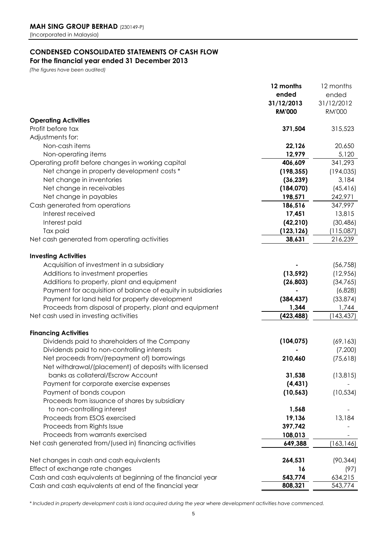# **CONDENSED CONSOLIDATED STATEMENTS OF CASH FLOW**

# **For the financial year ended 31 December 2013**

*(The figures have been audited)*

|                                                              | 12 months     | 12 months     |
|--------------------------------------------------------------|---------------|---------------|
|                                                              | ended         | ended         |
|                                                              | 31/12/2013    | 31/12/2012    |
|                                                              | <b>RM'000</b> | <b>RM'000</b> |
| <b>Operating Activities</b>                                  |               |               |
| Profit before tax                                            | 371,504       | 315,523       |
| Adjustments for:                                             |               |               |
| Non-cash items                                               | 22,126        | 20,650        |
| Non-operating items                                          | 12,979        | 5,120         |
| Operating profit before changes in working capital           | 406,609       | 341,293       |
| Net change in property development costs *                   | (198, 355)    | (194, 035)    |
| Net change in inventories                                    | (36, 239)     | 3,184         |
| Net change in receivables                                    | (184, 070)    | (45, 416)     |
| Net change in payables                                       | 198,571       | 242,971       |
| Cash generated from operations                               | 186,516       | 347,997       |
| Interest received                                            | 17,451        | 13,815        |
| Interest paid                                                | (42, 210)     | (30, 486)     |
| Tax paid                                                     | (123, 126)    | (115,087)     |
| Net cash generated from operating activities                 | 38,631        | 216,239       |
|                                                              |               |               |
| <b>Investing Activities</b>                                  |               |               |
| Acquisition of investment in a subsidiary                    |               | (56, 758)     |
| Additions to investment properties                           | (13, 592)     | (12,956)      |
| Additions to property, plant and equipment                   | (26, 803)     | (34, 765)     |
| Payment for acquisition of balance of equity in subsidiaries |               | (6,828)       |
| Payment for land held for property development               | (384, 437)    | (33, 874)     |
| Proceeds from disposal of property, plant and equipment      | 1,344         | 1,744         |
| Net cash used in investing activities                        | (423, 488)    | (143, 437)    |
|                                                              |               |               |
| <b>Financing Activities</b>                                  |               |               |
| Dividends paid to shareholders of the Company                | (104, 075)    | (69, 163)     |
| Dividends paid to non-controlling interests                  |               | (7,200)       |
| Net proceeds from/(repayment of) borrowings                  | 210,460       | (75,618)      |
| Net withdrawal/(placement) of deposits with licensed         |               |               |
| banks as collateral/Escrow Account                           | 31,538        | (13, 815)     |
| Payment for corporate exercise expenses                      | (4, 431)      |               |
| Payment of bonds coupon                                      | (10, 563)     | (10, 534)     |
| Proceeds from issuance of shares by subsidiary               |               |               |
| to non-controlling interest                                  | 1,568         |               |
| Proceeds from ESOS exercised                                 | 19,136        | 13,184        |
| Proceeds from Rights Issue                                   | 397,742       |               |
| Proceeds from warrants exercised                             | 108,013       |               |
| Net cash generated from/(used in) financing activities       | 649,388       | (163, 146)    |
|                                                              |               |               |
| Net changes in cash and cash equivalents                     | 264,531       | (90, 344)     |
| Effect of exchange rate changes                              | 16            | (97)          |
| Cash and cash equivalents at beginning of the financial year | 543,774       | 634,215       |
| Cash and cash equivalents at end of the financial year       | 808,321       | 543,774       |

*\* Included in property development costs is land acquired during the year where development activities have commenced.*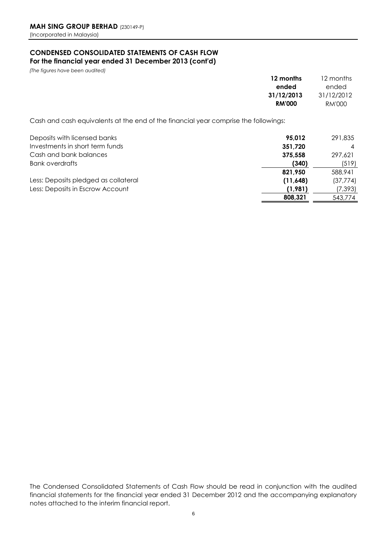## **CONDENSED CONSOLIDATED STATEMENTS OF CASH FLOW For the financial year ended 31 December 2013 (cont'd)**

*(The figures have been audited)*

Cash and cash equivalents at the end of the financial year comprise the followings:

| Deposits with licensed banks         | 95.012   | 291,835   |
|--------------------------------------|----------|-----------|
| Investments in short term funds      | 351,720  |           |
| Cash and bank balances               | 375,558  | 297.621   |
| <b>Bank overdrafts</b>               | (340)    | (519)     |
|                                      | 821.950  | 588,941   |
| Less: Deposits pledged as collateral | (11,648) | (37, 774) |
| Less: Deposits in Escrow Account     | (1,981)  | (7, 393)  |
|                                      | 808,321  | 543,774   |

The Condensed Consolidated Statements of Cash Flow should be read in conjunction with the audited financial statements for the financial year ended 31 December 2012 and the accompanying explanatory notes attached to the interim financial report.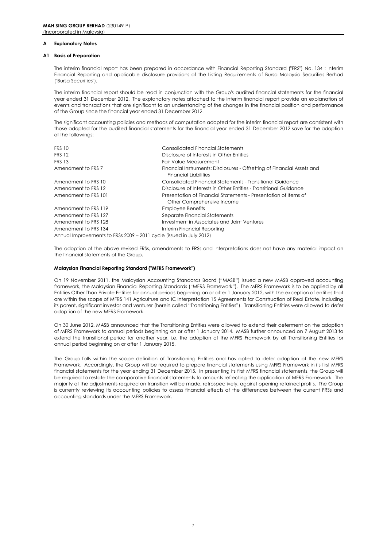### **A Explanatory Notes**

### **A1 Basis of Preparation**

The interim financial report has been prepared in accordance with Financial Reporting Standard ("FRS") No. 134 : Interim Financial Reporting and applicable disclosure provisions of the Listing Requirements of Bursa Malaysia Securities Berhad ("Bursa Securities").

The interim financial report should be read in conjunction with the Group's audited financial statements for the financial year ended 31 December 2012. The explanatory notes attached to the interim financial report provide an explanation of events and transactions that are significant to an understanding of the changes in the financial position and performance of the Group since the financial year ended 31 December 2012.

The significant accounting policies and methods of computation adopted for the interim financial report are consistent with those adopted for the audited financial statements for the financial year ended 31 December 2012 save for the adoption of the followings:

| <b>FRS 10</b>                                                       | Consolidated Financial Statements                                                                       |
|---------------------------------------------------------------------|---------------------------------------------------------------------------------------------------------|
| <b>FRS 12</b>                                                       | Disclosure of Interests in Other Entities                                                               |
| <b>FRS 13</b>                                                       | <b>Fair Value Measurement</b>                                                                           |
| Amendment to FRS 7                                                  | Financial Instruments: Disclosures - Offsetting of Financial Assets and<br><b>Financial Liabilities</b> |
| Amendment to FRS 10                                                 | Consolidated Financial Statements - Transitional Guidance                                               |
| Amendment to FRS 12                                                 | Disclosure of Interests in Other Entities - Transitional Guidance                                       |
| Amendment to FRS 101                                                | Presentation of Financial Statements - Presentation of Items of                                         |
|                                                                     | Other Comprehensive Income                                                                              |
| Amendment to FRS 119                                                | <b>Employee Benefits</b>                                                                                |
| Amendment to FRS 127                                                | Separate Financial Statements                                                                           |
| Amendment to FRS 128                                                | Investment in Associates and Joint Ventures                                                             |
| Amendment to FRS 134                                                | Interim Financial Reporting                                                                             |
| Annual Improvements to FRSs 2009 – 2011 cycle (issued in July 2012) |                                                                                                         |

The adoption of the above revised FRSs, amendments to FRSs and Interpretations does not have any material impact on the financial statements of the Group.

### **Malaysian Financial Reporting Standard ("MFRS Framework")**

On 19 November 2011, the Malaysian Accounting Standards Board ("MASB") issued a new MASB approved accounting framework, the Malaysian Financial Reporting Standards ("MFRS Framework"). The MFRS Framework is to be applied by all Entities Other Than Private Entities for annual periods beginning on or after 1 January 2012, with the exception of entities that are within the scope of MFRS 141 Agriculture and IC Interpretation 15 Agreements for Construction of Real Estate, including its parent, significant investor and venturer (herein called "Transitioning Entities"). Transitioning Entities were allowed to defer adoption of the new MFRS Framework.

On 30 June 2012, MASB announced that the Transitioning Entities were allowed to extend their deferment on the adoption of MFRS Framework to annual periods beginning on or after 1 January 2014. MASB further announced on 7 August 2013 to extend the transitional period for another year, i.e. the adoption of the MFRS Framework by all Transitioning Entities for annual period beginning on or after 1 January 2015.

The Group falls within the scope definition of Transitioning Entities and has opted to defer adoption of the new MFRS Framework. Accordingly, the Group will be required to prepare financial statements using MFRS Framework in its first MFRS financial statements for the year ending 31 December 2015. In presenting its first MFRS financial statements, the Group will be required to restate the comparative financial statements to amounts reflecting the application of MFRS Framework. The majority of the adjustments required on transition will be made, retrospectively, against opening retained profits. The Group is currently reviewing its accounting policies to assess financial effects of the differences between the current FRSs and accounting standards under the MFRS Framework.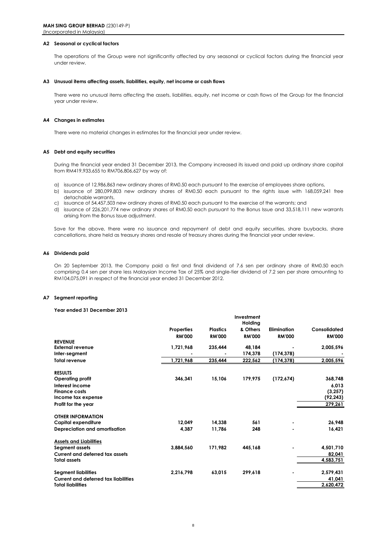### **A2 Seasonal or cyclical factors**

The operations of the Group were not significantly affected by any seasonal or cyclical factors during the financial year under review.

### **A3 Unusual items affecting assets, liabilities, equity, net income or cash flows**

There were no unusual items affecting the assets, liabilities, equity, net income or cash flows of the Group for the financial year under review.

### **A4 Changes in estimates**

There were no material changes in estimates for the financial year under review.

### **A5 Debt and equity securities**

During the financial year ended 31 December 2013, the Company increased its issued and paid up ordinary share capital from RM419,933,655 to RM706,806,627 by way of:

- a) issuance of 12,986,863 new ordinary shares of RM0.50 each pursuant to the exercise of employees share options,
- b) issuance of 280,099,803 new ordinary shares of RM0.50 each pursuant to the rights issue with 168,059,241 free detachable warrants,
- c) issuance of 54,457,503 new ordinary shares of RM0.50 each pursuant to the exercise of the warrants; and
- d) issuance of 226,201,774 new ordinary shares of RM0.50 each pursuant to the Bonus Issue and 33,518,111 new warrants arising from the Bonus Issue adjustment.

Save for the above, there were no issuance and repayment of debt and equity securities, share buybacks, share cancellations, share held as treasury shares and resale of treasury shares during the financial year under review.

### **A6 Dividends paid**

On 20 September 2013, the Company paid a first and final dividend of 7.6 sen per ordinary share of RM0.50 each comprising 0.4 sen per share less Malaysian Income Tax of 25% and single-tier dividend of 7.2 sen per share amounting to RM104,075,091 in respect of the financial year ended 31 December 2012.

### **A7 Segment reporting**

### **Year ended 31 December 2013**

|                                             |                   |                 | Investment    |               |               |
|---------------------------------------------|-------------------|-----------------|---------------|---------------|---------------|
|                                             |                   |                 | Holding       |               |               |
|                                             | <b>Properties</b> | <b>Plastics</b> | & Others      | Elimination   | Consolidated  |
|                                             | <b>RM'000</b>     | <b>RM'000</b>   | <b>RM'000</b> | <b>RM'000</b> | <b>RM'000</b> |
| <b>REVENUE</b>                              |                   |                 |               |               |               |
| <b>External revenue</b>                     | 1,721,968         | 235,444         | 48.184        |               | 2,005,596     |
| Inter-segment                               |                   |                 | 174,378       | (174, 378)    |               |
| Total revenue                               | 1,721,968         | 235,444         | 222,562       | (174, 378)    | 2,005,596     |
| <b>RESULTS</b>                              |                   |                 |               |               |               |
| <b>Operating profit</b>                     | 346.341           | 15,106          | 179,975       | (172, 674)    | 368,748       |
| Interest income                             |                   |                 |               |               | 6,013         |
| <b>Finance costs</b>                        |                   |                 |               |               | (3, 257)      |
| Income tax expense                          |                   |                 |               |               | (92, 243)     |
| Profit for the year                         |                   |                 |               |               | 279,261       |
|                                             |                   |                 |               |               |               |
| <b>OTHER INFORMATION</b>                    |                   |                 |               |               |               |
| Capital expenditure                         | 12.049            | 14.338          | 561           |               | 26,948        |
| Depreciation and amortisation               | 4,387             | 11.786          | 248           | ٠             | 16,421        |
| <b>Assets and Liabilities</b>               |                   |                 |               |               |               |
| Segment assets                              | 3.884.560         | 171.982         | 445.168       |               | 4,501,710     |
| <b>Current and deferred tax assets</b>      |                   |                 |               |               | 82,041        |
| <b>Total assets</b>                         |                   |                 |               |               | 4,583,751     |
|                                             |                   |                 |               |               |               |
| <b>Seament liabilities</b>                  | 2,216,798         | 63,015          | 299,618       |               | 2,579,431     |
| <b>Current and deferred tax liabilities</b> |                   |                 |               |               | 41,041        |
| <b>Total liabilities</b>                    |                   |                 |               |               | 2,620,472     |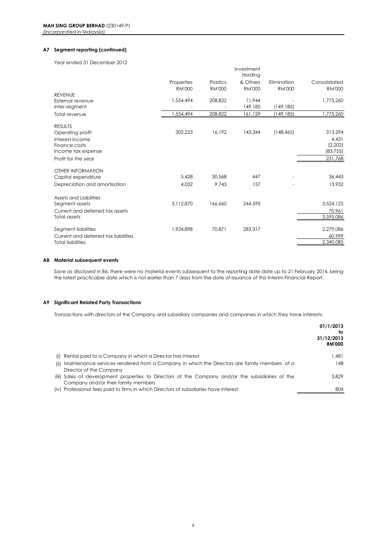### **A7 Segment reporting (continued)**

Year ended 31 December 2012

|                                      |            |               | Investment<br>Holding |               |               |
|--------------------------------------|------------|---------------|-----------------------|---------------|---------------|
|                                      | Properties | Plastics      | & Others              | Elimination   | Consolidated  |
|                                      | RM'000     | <b>RM'000</b> | <b>RM'000</b>         | <b>RM'000</b> | <b>RM'000</b> |
| <b>REVENUE</b>                       |            |               |                       |               |               |
| External revenue                     | 1,554,494  | 208,822       | 11,944                |               | 1,775,260     |
| Inter-segment                        |            |               | 149,185               | (149, 185)    |               |
| Total revenue                        | 1,554,494  | 208,822       | 161,129               | (149, 185)    | 1,775,260     |
| <b>RESULTS</b>                       |            |               |                       |               |               |
| Operating profit                     | 302,223    | 16,192        | 143,344               | (148, 465)    | 313,294       |
| Interest income                      |            |               |                       |               | 4,431         |
| Finance costs                        |            |               |                       |               | (2,202)       |
| Income tax expense                   |            |               |                       |               | (83, 755)     |
| Profit for the year                  |            |               |                       |               | 231,768       |
| OTHER INFORMATION                    |            |               |                       |               |               |
| Capital expenditure                  | 5.428      | 30.568        | 447                   |               | 36,443        |
| Depreciation and amortisation        | 4.032      | 9.743         | 157                   |               | 13,932        |
| Assets and Liabilities               |            |               |                       |               |               |
| Segment assets                       | 3,112,870  | 166,660       | 244,595               |               | 3,524,125     |
| Current and deferred tax assets      |            |               |                       |               | 70.961        |
| <b>Total assets</b>                  |            |               |                       |               | 3,595,086     |
| Segment liabilities                  | 1,924,898  | 70,871        | 283,317               |               | 2,279,086     |
| Current and deferred tax liabilities |            |               |                       |               | 60,999        |
| <b>Total liabilities</b>             |            |               |                       |               | 2,340,085     |
|                                      |            |               |                       |               |               |

### **A8 Material subsequent events**

Save as disclosed in B6, there were no material events subsequent to the reporting date date up to 21 February 2014, being the latest practicable date which is not earlier than 7 days from the date of issuance of this Interim Financial Report.

### **A9 Significant Related Party Transactions**

Transactions with directors of the Company and subsidiary companies and companies in which they have interests:

|      |                                                                                                                                         | 01/1/2013<br>to<br>31/12/2013<br><b>RM'000</b> |
|------|-----------------------------------------------------------------------------------------------------------------------------------------|------------------------------------------------|
| (i)  | Rental paid to a Company in which a Director has interest                                                                               | 1.481                                          |
| (ii) | Maintenance services rendered from a Company in which the Directors are family members of a<br>Director of the Company                  | 148                                            |
|      | (iii) Sales of development properties to Directors of the Company and/or the subsidiaries of the<br>Company and/or their family members | 3.829                                          |
|      | (iv) Professional fees paid to firms in which Directors of subsdiaries have interest                                                    | 804                                            |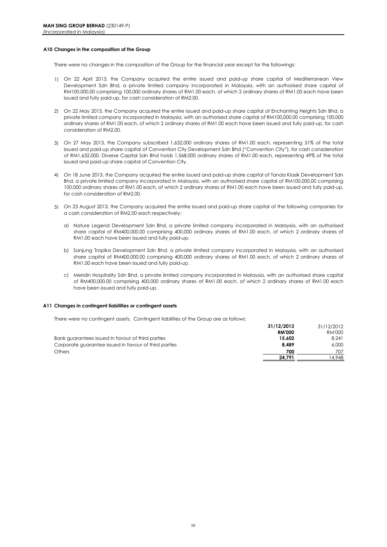### **A10 Changes in the composition of the Group**

There were no changes in the composition of the Group for the financial year except for the followings:

- 1) On 22 April 2013, the Company acquired the entire issued and paid-up share capital of Mediterranean View Development Sdn Bhd, a private limited company incorporated in Malaysia, with an authorised share capital of RM100,000.00 comprising 100,000 ordinary shares of RM1.00 each, of which 2 ordinary shares of RM1.00 each have been issued and fully paid-up, for cash consideration of RM2.00.
- 2) On 22 May 2013, the Company acquired the entire issued and paid-up share capital of Enchanting Heights Sdn Bhd, a private limited company incorporated in Malaysia, with an authorised share capital of RM100,000.00 comprising 100,000 ordinary shares of RM1.00 each, of which 2 ordinary shares of RM1.00 each have been issued and fully paid-up, for cash consideration of RM2.00.
- 3) On 27 May 2013, the Company subscribed 1,632,000 ordinary shares of RM1.00 each, representing 51% of the total issued and paid-up share capital of Convention City Development Sdn Bhd ("Convention City"), for cash consideration of RM1,632,000. Diverse Capital Sdn Bhd holds 1,568,000 ordinary shares of RM1.00 each, representing 49% of the total issued and paid-up share capital of Convention City.
- 4) On 18 June 2013, the Company acquired the entire issued and paid-up share capital of Tanda Klasik Development Sdn Bhd, a private limited company incorporated in Malaysia, with an authorised share capital of RM100,000.00 comprising 100,000 ordinary shares of RM1.00 each, of which 2 ordinary shares of RM1.00 each have been issued and fully paid-up, for cash consideration of RM2.00.
- 5) On 23 August 2013, the Company acquired the entire issued and paid-up share capital of the following companies for a cash consideration of RM2.00 each respectively:
	- a) Nature Legend Development Sdn Bhd, a private limited company incorporated in Malaysia, with an authorised share capital of RM400,000.00 comprising 400,000 ordinary shares of RM1.00 each, of which 2 ordinary shares of RM1.00 each have been issued and fully paid-up.
	- b) Sanjung Tropika Development Sdn Bhd, a private limited company incorporated in Malaysia, with an authorised share capital of RM400,000.00 comprising 400,000 ordinary shares of RM1.00 each, of which 2 ordinary shares of RM1.00 each have been issued and fully paid-up.
	- c) Meridin Hospitality Sdn Bhd, a private limited company incorporated in Malaysia, with an authorised share capital of RM400,000.00 comprising 400,000 ordinary shares of RM1.00 each, of which 2 ordinary shares of RM1.00 each have been issued and fully paid-up.

### **A11 Changes in contingent liabilities or contingent assets**

There were no contingent assets. Contingent liabilities of the Group are as follows:

|                                                       | 31/12/2013    | 31/12/2012 |
|-------------------------------------------------------|---------------|------------|
|                                                       | <b>RM'000</b> | RM'000     |
| Bank guarantees issued in favour of third parties     | 15.602        | 8.241      |
| Corporate guarantee issued in favour of third parties | 8.489         | 6.000      |
| Others                                                | 700           | 707        |
|                                                       | 24.791        | 4.948      |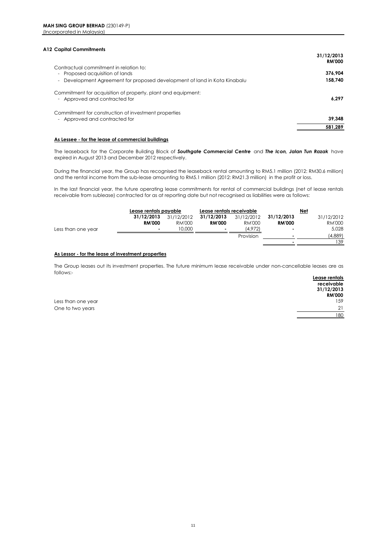### **A12 Capital Commitments**

| cupilui committents                                                                           | 31/12/2013<br><b>RM'000</b> |
|-----------------------------------------------------------------------------------------------|-----------------------------|
| Contractual commitment in relation to:<br>- Proposed acquisition of lands                     | 376.904                     |
| Development Agreement for proposed development of land in Kota Kinabalu<br>$\sim$             | 158.740                     |
| Commitment for acquisition of property, plant and equipment:<br>- Approved and contracted for | 6.297                       |
| Commitment for construction of investment properties<br>- Approved and contracted for         | 39.348                      |
|                                                                                               | 581.289                     |

### **As Lessee - for the lease of commercial buildings**

The leaseback for the Corporate Building Block of *Southgate Commercial Centre* and *The Icon, Jalan Tun Razak* have expired in August 2013 and December 2012 respectively.

During the financial year, the Group has recognised the leaseback rental amounting to RM5.1 million (2012: RM30.6 million) and the rental income from the sub-lease amounting to RM5.1 million (2012: RM21.3 million) in the profit or loss.

In the last financial year, the future operating lease commitments for rental of commercial buildings (net of lease rentals receivable from sublease) contracted for as at reporting date but not recognised as liabilities were as follows:

|                    | Lease rentals payable |            | Lease rentals receivable |            |               | Net           |
|--------------------|-----------------------|------------|--------------------------|------------|---------------|---------------|
|                    | 31/12/2013            | 31/12/2012 | 31/12/2013               | 31/12/2012 | 31/12/2013    | 31/12/2012    |
|                    | <b>RM'000</b>         | RM'000     | <b>RM'000</b>            | RM'000     | <b>RM'000</b> | <b>RM'000</b> |
| Less than one year |                       | 10,000     |                          | (4,972)    |               | 5,028         |
|                    |                       |            |                          | Provision  |               | (4,889)       |
|                    |                       |            |                          |            |               | 139           |
|                    |                       |            |                          |            |               |               |

### **As Lessor - for the lease of investment properties**

The Group leases out its investment properties. The future minimum lease receivable under non-cancellable leases are as follows:-

|                    | Lease rentals |
|--------------------|---------------|
|                    | receivable    |
|                    | 31/12/2013    |
|                    | <b>RM'000</b> |
| Less than one year | 159           |
| One to two years   | 21            |
|                    | 180           |
|                    |               |

11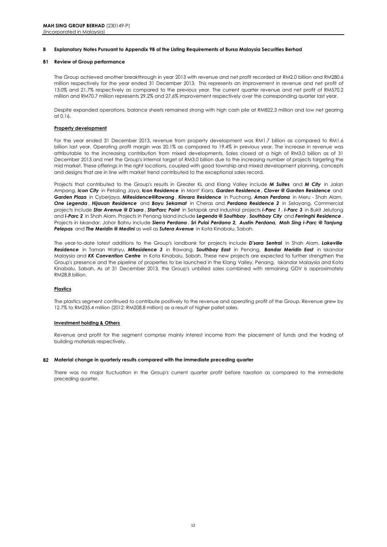#### **B Explanatory Notes Pursuant to Appendix 9B of the Listing Requirements of Bursa Malaysia Securities Berhad**

### **B1 Review of Group performance**

The Group achieved another breakthrough in year 2013 with revenue and net profit recorded at RM2.0 billion and RM280.6 million respectively for the year ended 31 December 2013. This represents an improvement in revenue and net profit of 13.0% and 21.7% respectively as compared to the previous year. The current quarter revenue and net profit of RM570.2 million and RM70.7 million represents 29.2% and 27.6% improvement respectively over the corresponding quarter last year.

Despite expanded operations, balance sheets remained strong with high cash pile at RM822.3 million and low net gearing at 0.16.

### **Property development**

For the year ended 31 December 2013, revenue from property development was RM1.7 billion as compared to RM1.6 billion last year. Operating profit margin was 20.1% as compared to 19.4% in previous year. The increase in revenue was attributable to the increasing contribution from mixed developments. Sales closed at a high of RM3.0 billion as of 31 December 2013 and met the Group's internal target of RM3.0 billion due to the increasing number of projects targeting the mid market. These offerings in the right locations, coupled with good township and mixed development planning, concepts and designs that are in line with market trend contributed to the exceptional sales record.

Projects that contributed to the Group's results in Greater KL and Klang Valley include *M Suites* and *M City* in Jalan Ampang, *Icon City* in Petaling Jaya, *Icon Residence* in Mont' Kiara, *Garden Residence* , *Clover @ Garden Residence* and *Garden Plaza* in Cyberjaya, *MResidence@Rawang* , *Kinrara Residence* in Puchong, *Aman Perdana* in Meru - Shah Alam, *One Legenda* , *Hijauan Residence* and *Bayu Sekamat* in Cheras and *Perdana Residence 2* in Selayang. Commercial projects include *Star Avenue @ D'sara* , *StarParc Point* in Setapak and industrial projects *i-Parc 1* , *i-Parc 3* in Bukit Jelutong and *i-Parc 2* in Shah Alam. Projects in Penang Island include *Legenda @ Southbay* , *Southbay City* and *Ferringhi Residence* . Projects in Iskandar, Johor Bahru include *Sierra Perdana* , *Sri Pulai Perdana 2, Austin Perdana, Mah Sing i-Parc @ Tanjung Pelepas* and *The Meridin @ Medini* as well as *Sutera Avenue* in Kota Kinabalu, Sabah.

The year-to-date latest additions to the Group's landbank for projects include *D'sara Sentral* in Shah Alam, *Lakeville Residence* in Taman Wahyu, *MResidence 3* in Rawang, *Southbay East* in Penang, *Bandar Meridin East* in Iskandar Malaysia and *KK Convention Centre* in Kota Kinabalu, Sabah. These new projects are expected to further strengthen the Group's presence and the pipeline of properties to be launched in the Klang Valley, Penang, Iskandar Malaysia and Kota Kinabalu, Sabah. As at 31 December 2013, the Group's unbilled sales combined with remaining GDV is approximately RM28.8 billion.

### **Plastics**

The plastics segment continued to contribute positively to the revenue and operating profit of the Group. Revenue grew by 12.7% to RM235.4 million (2012: RM208.8 million) as a result of higher pallet sales.

### **Investment holding & Others**

Revenue and profit for the segment comprise mainly interest income from the placement of funds and the trading of building materials respectively.

### **B2 Material change in quarterly results compared with the immediate preceding quarter**

There was no major fluctuation in the Group's current quarter profit before taxation as compared to the immediate preceding quarter.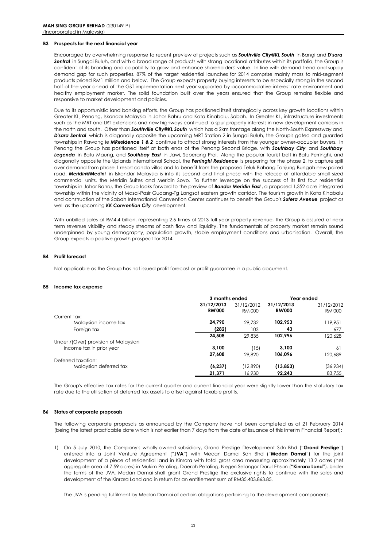### **B3 Prospects for the next financial year**

Encouraged by overwhelming response to recent preview of projects such as *Southville City@KL South* in Bangi and *D'sara Sentral* in Sungai Buluh, and with a broad range of products with strong locational attributes within its portfolio, the Group is confident of its branding and capability to grow and enhance shareholders' value. In line with demand trend and supply demand gap for such properties, 87% of the target residential launches for 2014 comprise mainly mass to mid-segment products priced RM1 million and below. The Group expects property buying interests to be especially strong in the second half of the year ahead of the GST implementation next year supported by accommodative interest rate environment and healthy employment market. The solid foundation built over the years ensured that the Group remains flexible and responsive to market development and policies.

Due to its opportunistic land banking efforts, the Group has positioned itself strategically across key growth locations within Greater KL, Penang, Iskandar Malaysia in Johor Bahru and Kota Kinabalu, Sabah. In Greater KL, infrastructure investments such as the MRT and LRT extensions and new highways continued to spur property interests in new development corridors in the north and south. Other than *Southville City@KL South* which has a 2km frontage along the North-South Expressway and *D'sara Sentral* which is diagonally opposite the upcoming MRT Station 2 in Sungai Buluh, the Group's gated and guarded townships in Rawang ie *MResidence 1 & 2* continue to attract strong interests from the younger owner-occupier buyers. In Penang the Group has positioned itself at both ends of the Penang Second Bridge, with *Southbay City* and *Southbay Legenda* in Batu Maung, and *Southbay East* in Jawi, Seberang Prai. Along the popular tourist belt in Batu Ferringhi, and diagonally opposite the Uplands International School, the *Ferringhi Residence* is preparing for the phase 2, to capture spill over demand from phase 1 resort condo villas and to benefit from the proposed Teluk Bahang-Tanjung Bungah new paired road. *Meridin@Medini* in Iskandar Malaysia is into its second and final phase with the release of affordable small sized commercial units, the Meridin Suites and Meridin Sovo. To further leverage on the success of its first four residential townships in Johor Bahru, the Group looks forward to the preview of *Bandar Meridin East* , a proposed 1,352 acre integrated township within the vicinity of Masai-Pasir Gudang-Tg Langsat eastern growth corridor. The tourism growth in Kota Kinabalu and construction of the Sabah International Convention Center continues to benefit the Group's *Sutera Avenue* project as well as the upcoming *KK Convention City* development.

With unbilled sales at RM4.4 billion, representing 2.6 times of 2013 full year property revenue, the Group is assured of near term revenue visibility and steady streams of cash flow and liquidity. The fundamentals of property market remain sound underpinned by young demography, population growth, stable employment conditions and urbanisation. Overall, the Group expects a positive growth prospect for 2014.

### **B4 Profit forecast**

Not applicable as the Group has not issued profit forecast or profit guarantee in a public document.

### **B5 Income tax expense**

|                                       | 3 months ended |            | Year ended    |            |
|---------------------------------------|----------------|------------|---------------|------------|
|                                       | 31/12/2013     | 31/12/2012 | 31/12/2013    | 31/12/2012 |
|                                       | <b>RM'000</b>  | RM'000     | <b>RM'000</b> | RM'000     |
| Current tax:                          |                |            |               |            |
| Malaysian income tax                  | 24,790         | 29.732     | 102,953       | 119.951    |
| Foreign tax                           | (282)          | 103        | 43            | 677        |
|                                       | 24,508         | 29.835     | 102,996       | 120.628    |
| Under / (Over) provision of Malaysian |                |            |               |            |
| income tax in prior year              | 3,100          | (15)       | 3.100         | 61         |
|                                       | 27,608         | 29.820     | 106.096       | 120.689    |
| Deferred taxation:                    |                |            |               |            |
| Malaysian deferred tax                | (6, 237)       | (12,890)   | (13, 853)     | (36,934)   |
|                                       | 21,371         | 16.930     | 92.243        | 83,755     |

The Group's effective tax rates for the current quarter and current financial year were slightly lower than the statutory tax rate due to the utilisation of deferred tax assets to offset against taxable profits.

### **B6 Status of corporate proposals**

The following corporate proposals as announced by the Company have not been completed as at 21 February 2014 (being the latest practicable date which is not earlier than 7 days from the date of issuance of this Interim Financial Report):

1) On 5 July 2010, the Company's wholly-owned subsidiary, Grand Prestige Development Sdn Bhd ("**Grand Prestige**") entered into a Joint Venture Agreement ("**JVA**") with Medan Damai Sdn Bhd ("**Medan Damai**") for the joint development of a piece of residential land in Kinrara with total gross area measuring approximately 13.2 acres (net aggregate area of 7.59 acres) in Mukim Petaling, Daerah Petaling, Negeri Selangor Darul Ehsan ("**Kinrara Land**"). Under the terms of the JVA, Medan Damai shall grant Grand Prestige the exclusive rights to continue with the sales and development of the Kinrara Land and in return for an entitlement sum of RM35,403,863.85.

The JVA is pending fulfilment by Medan Damai of certain obligations pertaining to the development components.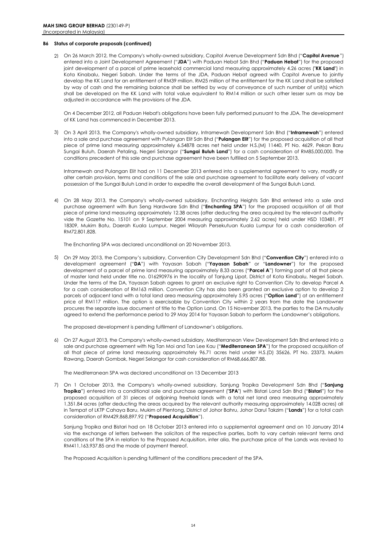### **B6 Status of corporate proposals (continued)**

2) On 26 March 2012, the Company's wholly-owned subsidiary, Capitol Avenue Development Sdn Bhd ("**Capitol Avenue**") entered into a Joint Development Agreement ("**JDA**") with Paduan Hebat Sdn Bhd ("**Paduan Hebat**") for the proposed joint development of a parcel of prime leasehold commercial land measuring approximately 4.26 acres ("**KK Land**") in Kota Kinabalu, Negeri Sabah. Under the terms of the JDA, Paduan Hebat agreed with Capitol Avenue to jointly develop the KK Land for an entitlement of RM39 million. RM25 million of the entitlement for the KK Land shall be satisfied by way of cash and the remaining balance shall be settled by way of conveyance of such number of unit(s) which shall be developed on the KK Land with total value equivalent to RM14 million or such other lesser sum as may be adjusted in accordance with the provisions of the JDA.

On 4 December 2012, all Paduan Hebat's obligations have been fully performed pursuant to the JDA. The development of KK Land has commenced in December 2013.

3) On 3 April 2013, the Company's wholly-owned subsidiary, Intramewah Development Sdn Bhd ("**Intramewah**") entered into a sale and purchase agreement with Pulangan Elit Sdn Bhd ("**Pulangan Elit**") for the proposed acquisition of all that piece of prime land measuring approximately 6.54878 acres net held under H.S.(M) 11440, PT No. 4629, Pekan Baru Sungai Buluh, Daerah Petaling, Negeri Selangor ("**Sungai Buluh Land**") for a cash consideration of RM85,000,000. The conditions precedent of this sale and purchase agreement have been fulfilled on 5 September 2013.

Intramewah and Pulangan Elit had on 11 December 2013 entered into a supplemental agreement to vary, modify or alter certain provision, terms and conditions of the sale and purchase agreement to facilitate early delivery of vacant possession of the Sungai Buluh Land in order to expedite the overall development of the Sungai Buluh Land.

4) On 28 May 2013, the Company's wholly-owned subsidiary, Enchanting Heights Sdn Bhd entered into a sale and purchase agreement with Bun Seng Hardware Sdn Bhd ("**Enchanting SPA**") for the proposed acquisition of all that piece of prime land measuring approximately 12.38 acres (after deducting the area acquired by the relevant authority vide the Gazette No. 15101 on 9 September 2004 measuring approximately 2.62 acres) held under HSD 103481, PT 18309, Mukim Batu, Daerah Kuala Lumpur, Negeri Wilayah Persekutuan Kuala Lumpur for a cash consideration of RM72,801,828.

The Enchanting SPA was declared unconditional on 20 November 2013.

5) On 29 May 2013, the Company's subsidiary, Convention City Development Sdn Bhd ("**Convention City**") entered into a development agreement ("**DA**") with Yayasan Sabah ("**Yayasan Sabah**" or "**Landowner**") for the proposed development of a parcel of prime land measuring approximately 8.33 acres ("**Parcel A**") forming part of all that piece of master land held under title no. 016290976 in the locality of Tanjung Lipat, District of Kota Kinabalu, Negeri Sabah. Under the terms of the DA, Yayasan Sabah agrees to grant an exclusive right to Convention City to develop Parcel A for a cash consideration of RM163 million. Convention City has also been granted an exclusive option to develop 2 parcels of adjacent land with a total land area measuring approximately 5.95 acres ("**Option Land**") at an entitlement price of RM117 million. The option is exercisable by Convention City within 2 years from the date the Landowner procures the separate issue document of title to the Option Land. On 15 November 2013, the parties to the DA mutually agreed to extend the performance period to 29 May 2014 for Yayasan Sabah to perform the Landowner's obligations.

The proposed development is pending fulfilment of Landowner's obligations.

6) On 27 August 2013, the Company's wholly-owned subsidiary, Mediterranean View Development Sdn Bhd entered into a sale and purchase agreement with Ng Tan Moi and Tan Lee Kau ("**Mediterranean SPA**") for the proposed acquisition of all that piece of prime land measuring approximately 96.71 acres held under H.S.(D) 35626, PT No. 23373, Mukim Rawang, Daerah Gombak, Negeri Selangor for cash consideration of RM68,666,807.88.

The Mediterranean SPA was declared unconditional on 13 December 2013

7) On 1 October 2013, the Company's wholly-owned subsidiary, Sanjung Tropika Development Sdn Bhd ("**Sanjung Tropika**") entered into a conditional sale and purchase agreement ("**SPA**") with Bistari Land Sdn Bhd ("**Bistari**") for the proposed acquisition of 31 pieces of adjoining freehold lands with a total net land area measuring approximately 1,351.84 acres (after deducting the areas acquired by the relevant authority measuring approximately 14.028 acres) all in Tempat of LKTP Cahaya Baru, Mukim of Plentong, District of Johor Bahru, Johor Darul Takzim ("**Lands**") for a total cash consideration of RM429,868,897.92 ("**Proposed Acquisition**").

Sanjung Tropika and Bistari had on 18 October 2013 entered into a supplemental agreement and on 10 January 2014 via the exchange of letters between the solicitors of the respective parties, both to vary certain relevant terms and conditions of the SPA in relation to the Proposed Acquisition, inter alia, the purchase price of the Lands was revised to RM411,163,937.85 and the mode of payment thereof.

The Proposed Acquisition is pending fulfilment of the conditions precedent of the SPA.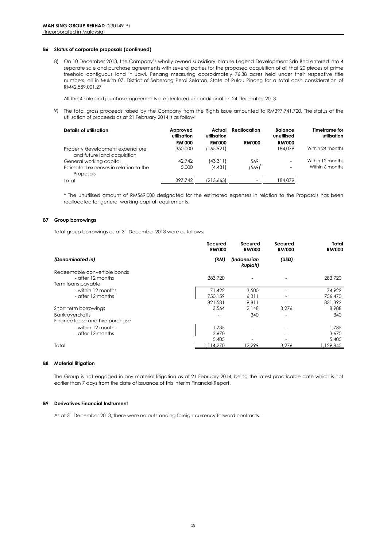### **B6 Status of corporate proposals (continued)**

8) On 10 December 2013, the Company's wholly-owned subsidiary, Nature Legend Development Sdn Bhd entered into 4 separate sale and purchase agreements with several parties for the proposed acquisition of all that 20 pieces of prime freehold contiguous land in Jawi, Penang measuring approximately 76.38 acres held under their respective title numbers, all in Mukim 07, District of Seberang Perai Selatan, State of Pulau Pinang for a total cash consideration of RM42,589,001.27

All the 4 sale and purchase agreements are declared unconditional on 24 December 2013.

9) The total gross proceeds raised by the Company from the Rights Issue amounted to RM397,741,720. The status of the utilisation of proceeds as at 21 February 2014 is as follow:

| Details of utilisation                                          | Approved<br>utilisation | Actual<br>utilisation | Reallocation  | <b>Balance</b><br>unutilised | Timeframe for<br>utilisation |
|-----------------------------------------------------------------|-------------------------|-----------------------|---------------|------------------------------|------------------------------|
|                                                                 | <b>RM'000</b>           | <b>RM'000</b>         | <b>RM'000</b> | <b>RM'000</b>                |                              |
| Property development expenditure<br>and future land acquisition | 350,000                 | (165.921)             |               | 184.079                      | Within 24 months             |
| General working capital                                         | 42.742                  | (43.311)              | 569           | $\overline{\phantom{0}}$     | Within 12 months             |
| Estimated expenses in relation to the<br>Proposals              | 5,000                   | (4.431)               | $(569)^7$     | $\overline{\phantom{a}}$     | Within 6 months              |
| Total                                                           | 397.742                 | (213.663)             |               | 84.079                       |                              |

\* The unutilised amount of RM569,000 designated for the estimated expenses in relation to the Proposals has been reallocated for general working capital requirements.

### **B7 Group borrowings**

Total group borrowings as at 31 December 2013 were as follows:

|                                 | Secured<br><b>RM'000</b> | Secured<br><b>RM'000</b>        | Secured<br><b>RM'000</b> | Total<br><b>RM'000</b> |
|---------------------------------|--------------------------|---------------------------------|--------------------------|------------------------|
| (Denominated in)                | (RM)                     | <i>(Indonesian</i> )<br>Rupiah) | (USD)                    |                        |
| Redeemable convertible bonds    |                          |                                 |                          |                        |
| - after 12 months               | 283,720                  |                                 |                          | 283,720                |
| Term loans payable              |                          |                                 |                          |                        |
| - within 12 months              | 71.422                   | 3,500                           |                          | 74,922                 |
| - after 12 months               | 750.159                  | 6,311                           |                          | 756,470                |
|                                 | 821,581                  | 9.811                           |                          | 831,392                |
| Short term borrowings           | 3,564                    | 2.148                           | 3.276                    | 8.988                  |
| <b>Bank overdrafts</b>          |                          | 340                             |                          | 340                    |
| Finance lease and hire purchase |                          |                                 |                          |                        |
| - within 12 months              | 1.735                    |                                 |                          | 1,735                  |
| - after 12 months               | 3,670                    |                                 |                          | 3,670                  |
|                                 | 5.405                    | -                               |                          | 5,405                  |
| Total                           | .114.270                 | 12.299                          | 3.276                    | ,129,845               |

### **B8 Material litigation**

The Group is not engaged in any material litigation as at 21 February 2014, being the latest practicable date which is not earlier than 7 days from the date of issuance of this Interim Financial Report.

### **B9 Derivatives Financial Instrument**

As at 31 December 2013, there were no outstanding foreign currency forward contracts.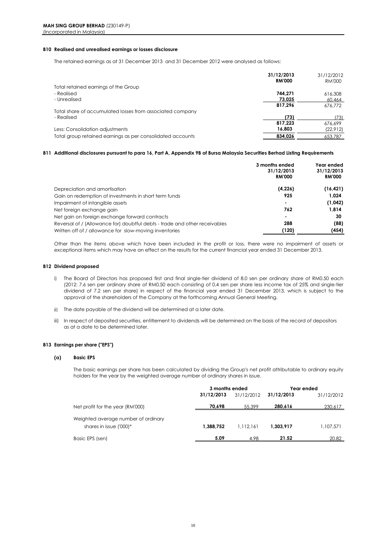### **B10 Realised and unrealised earnings or losses disclosure**

The retained earnings as at 31 December 2013 and 31 December 2012 were analysed as follows:

|                                                            | 31/12/2013<br><b>RM'000</b> | 31/12/2012<br>RM'000 |
|------------------------------------------------------------|-----------------------------|----------------------|
| Total retained earnings of the Group                       |                             |                      |
| - Realised                                                 | 744.271                     | 616,308              |
| - Unrealised                                               | 73,025                      | 60,464               |
|                                                            | 817.296                     | 676.772              |
| Total share of accumulated losses from associated company  |                             |                      |
| - Realised                                                 | (73)                        | (73)                 |
|                                                            | 817.223                     | 676.699              |
| Less: Consolidation adjustments                            | 16,803                      | (22, 912)            |
| Total group retained earnings as per consolidated accounts | 834.026                     | 653.787              |

### **B11 Additional disclosures pursuant to para 16, Part A, Appendix 9B of Bursa Malaysia Securities Berhad Listing Requirements**

|                                                                            | 3 months ended<br>31/12/2013<br><b>RM'000</b> | Year ended<br>31/12/2013<br><b>RM'000</b> |
|----------------------------------------------------------------------------|-----------------------------------------------|-------------------------------------------|
| Depreciation and amortisation                                              | (4,226)                                       | (16, 421)                                 |
| Gain on redemption of investments in short term funds                      | 925                                           | 1.024                                     |
| Impairment of intangible assets                                            | ٠                                             | (1,042)                                   |
| Net foreign exchange gain                                                  | 762                                           | 1.814                                     |
| Net gain on foreign exchange forward contracts                             |                                               | 30                                        |
| Reversal of / (Allowance for) doubtful debts - trade and other receivables | 288                                           | (88)                                      |
| Written off of / allowance for slow-moving inventories                     | (120)                                         | (454)                                     |

Other than the items above which have been included in the profit or loss, there were no impairment of assets or exceptional items which may have an effect on the results for the current financial year ended 31 December 2013.

### **B12 Dividend proposed**

- i) The Board of Directors has proposed first and final single-tier dividend of 8.0 sen per ordinary share of RM0.50 each (2012: 7.6 sen per ordinary share of RM0.50 each consisting of 0.4 sen per share less income tax of 25% and single-tier dividend of 7.2 sen per share) in respect of the financial year ended 31 December 2013, which is subject to the approval of the shareholders of the Company at the forthcoming Annual General Meeting.
- ii) The date payable of the dividend will be determined at a later date.
- iii) In respect of deposited securities, entitlement to dividends will be determined on the basis of the record of depositors as at a date to be determined later.

### **B13 Earnings per share ("EPS")**

### **(a) Basic EPS**

The basic earnings per share has been calculated by dividing the Group's net profit attributable to ordinary equity holders for the year by the weighted average number of ordinary shares in issue.

|                                                                | 3 months ended |            |            | Year ended |
|----------------------------------------------------------------|----------------|------------|------------|------------|
|                                                                | 31/12/2013     | 31/12/2012 | 31/12/2013 | 31/12/2012 |
| Net profit for the year (RM'000)                               | 70.698         | 55,399     | 280.616    | 230,617    |
| Weighted average number of ordinary<br>shares in issue ('000)* | 1,388,752      | 1.112.161  | 1.303.917  | 1.107.571  |
| Basic EPS (sen)                                                | 5.09           | 4.98       | 21.52      | 20.82      |